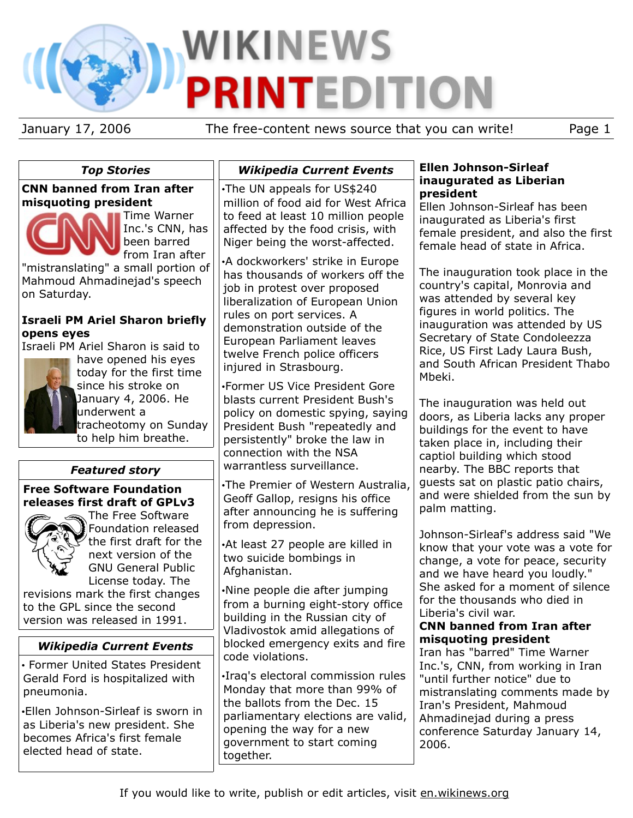# **WIKINEWS PRINTEDITION**

January 17, 2006 The free-content news source that you can write! Page 1

#### *Top Stories* **CNN banned from Iran after misquoting president** Time Warner Inc.'s CNN, has been barred from Iran after "mistranslating" a small portion of Mahmoud Ahmadinejad's speech on Saturday. **Israeli PM Ariel Sharon briefly opens eyes** Israeli PM Ariel Sharon is said to have opened his eyes today for the first time since his stroke on January 4, 2006. He underwent a tracheotomy on Sunday to help him breathe. *Featured story* **Free Software Foundation releases first draft of GPLv3** The Free Software Foundation released the first draft for the next version of the GNU General Public License today. The revisions mark the first changes to the GPL since the second version was released in 1991. *Wikipedia Current Events* • Former United States President Gerald Ford is hospitalized with pneumonia. •Ellen Johnson-Sirleaf is sworn in as Liberia's new president. She becomes Africa's first female elected head of state. *Wikipedia Current Events* •The UN appeals for US\$240 million of food aid for West Africa to feed at least 10 million people affected by the food crisis, with Niger being the worst-affected. •A dockworkers' strike in Europe has thousands of workers off the job in protest over proposed liberalization of European Union rules on port services. A demonstration outside of the European Parliament leaves twelve French police officers injured in Strasbourg. •Former US Vice President Gore blasts current President Bush's policy on domestic spying, saying President Bush "repeatedly and persistently" broke the law in connection with the NSA warrantless surveillance. •The Premier of Western Australia, Geoff Gallop, resigns his office after announcing he is suffering from depression. •At least 27 people are killed in two suicide bombings in Afghanistan. •Nine people die after jumping from a burning eight-story office building in the Russian city of Vladivostok amid allegations of blocked emergency exits and fire code violations. •Iraq's electoral commission rules Monday that more than 99% of the ballots from the Dec. 15 parliamentary elections are valid, opening the way for a new government to start coming together. **Ellen Johnson-Sirleaf inaugurated as Liberian president** Ellen Johnson-Sirleaf has been inaugurated as Liberia's first female president, and also the first female head of state in Africa. The inauguration took place in the country's capital, Monrovia and was attended by several key figures in world politics. The inauguration was attended by US Secretary of State Condoleezza Rice, US First Lady Laura Bush, and South African President Thabo Mbeki. The inauguration was held out doors, as Liberia lacks any proper buildings for the event to have taken place in, including their captiol building which stood nearby. The BBC reports that guests sat on plastic patio chairs, and were shielded from the sun by palm matting. Johnson-Sirleaf's address said "We know that your vote was a vote for change, a vote for peace, security and we have heard you loudly." She asked for a moment of silence for the thousands who died in Liberia's civil war. **CNN banned from Iran after misquoting president** Iran has "barred" Time Warner Inc.'s, CNN, from working in Iran "until further notice" due to mistranslating comments made by Iran's President, Mahmoud Ahmadinejad during a press conference Saturday January 14, 2006.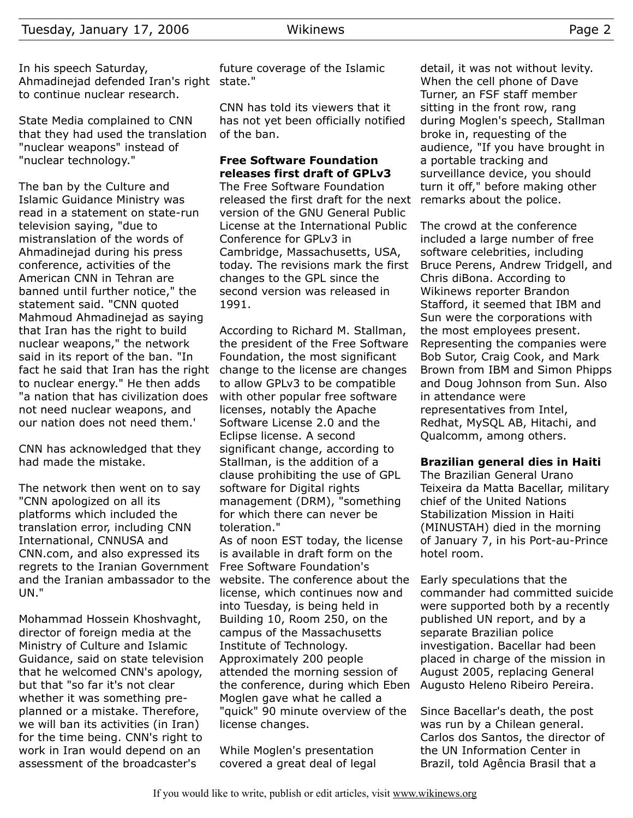State Media complained to CNN that they had used the translation "nuclear weapons" instead of "nuclear technology."

The ban by the Culture and Islamic Guidance Ministry was read in a statement on state-run television saying, "due to mistranslation of the words of Ahmadinejad during his press conference, activities of the American CNN in Tehran are banned until further notice," the statement said. "CNN quoted Mahmoud Ahmadinejad as saying that Iran has the right to build nuclear weapons," the network said in its report of the ban. "In fact he said that Iran has the right to nuclear energy." He then adds "a nation that has civilization does not need nuclear weapons, and our nation does not need them.'

CNN has acknowledged that they had made the mistake.

The network then went on to say "CNN apologized on all its platforms which included the translation error, including CNN International, CNNUSA and CNN.com, and also expressed its regrets to the Iranian Government and the Iranian ambassador to the UN."

Mohammad Hossein Khoshvaght, director of foreign media at the Ministry of Culture and Islamic Guidance, said on state television that he welcomed CNN's apology, but that "so far it's not clear whether it was something preplanned or a mistake. Therefore, we will ban its activities (in Iran) for the time being. CNN's right to work in Iran would depend on an assessment of the broadcaster's

future coverage of the Islamic

CNN has told its viewers that it has not yet been officially notified of the ban.

### **Free Software Foundation releases first draft of GPLv3**

The Free Software Foundation released the first draft for the next version of the GNU General Public License at the International Public Conference for GPLv3 in Cambridge, Massachusetts, USA, today. The revisions mark the first changes to the GPL since the second version was released in 1991.

According to Richard M. Stallman, the president of the Free Software Foundation, the most significant change to the license are changes to allow GPLv3 to be compatible with other popular free software licenses, notably the Apache Software License 2.0 and the Eclipse license. A second significant change, according to Stallman, is the addition of a clause prohibiting the use of GPL software for Digital rights management (DRM), "something for which there can never be toleration."

As of noon EST today, the license is available in draft form on the Free Software Foundation's website. The conference about the license, which continues now and into Tuesday, is being held in Building 10, Room 250, on the campus of the Massachusetts Institute of Technology. Approximately 200 people attended the morning session of the conference, during which Eben Moglen gave what he called a "quick" 90 minute overview of the license changes.

While Moglen's presentation covered a great deal of legal detail, it was not without levity. When the cell phone of Dave Turner, an FSF staff member sitting in the front row, rang during Moglen's speech, Stallman broke in, requesting of the audience, "If you have brought in a portable tracking and surveillance device, you should turn it off," before making other remarks about the police.

The crowd at the conference included a large number of free software celebrities, including Bruce Perens, Andrew Tridgell, and Chris diBona. According to Wikinews reporter Brandon Stafford, it seemed that IBM and Sun were the corporations with the most employees present. Representing the companies were Bob Sutor, Craig Cook, and Mark Brown from IBM and Simon Phipps and Doug Johnson from Sun. Also in attendance were representatives from Intel, Redhat, MySQL AB, Hitachi, and Qualcomm, among others.

#### **Brazilian general dies in Haiti**

The Brazilian General Urano Teixeira da Matta Bacellar, military chief of the United Nations Stabilization Mission in Haiti (MINUSTAH) died in the morning of January 7, in his Port-au-Prince hotel room.

Early speculations that the commander had committed suicide were supported both by a recently published UN report, and by a separate Brazilian police investigation. Bacellar had been placed in charge of the mission in August 2005, replacing General Augusto Heleno Ribeiro Pereira.

Since Bacellar's death, the post was run by a Chilean general. Carlos dos Santos, the director of the UN Information Center in Brazil, told Agência Brasil that a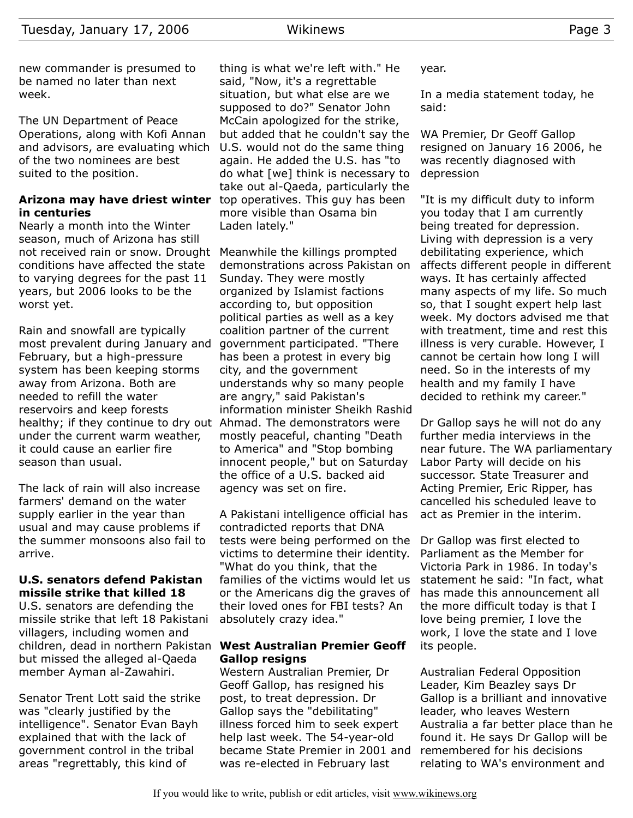new commander is presumed to be named no later than next week.

The UN Department of Peace Operations, along with Kofi Annan and advisors, are evaluating which of the two nominees are best suited to the position.

#### **Arizona may have driest winter** top operatives. This guy has been **in centuries**

Nearly a month into the Winter season, much of Arizona has still not received rain or snow. Drought Meanwhile the killings prompted conditions have affected the state to varying degrees for the past 11 years, but 2006 looks to be the worst yet.

Rain and snowfall are typically most prevalent during January and February, but a high-pressure system has been keeping storms away from Arizona. Both are needed to refill the water reservoirs and keep forests healthy; if they continue to dry out Ahmad. The demonstrators were under the current warm weather, it could cause an earlier fire season than usual.

The lack of rain will also increase farmers' demand on the water supply earlier in the year than usual and may cause problems if the summer monsoons also fail to arrive.

#### **U.S. senators defend Pakistan missile strike that killed 18**

U.S. senators are defending the missile strike that left 18 Pakistani villagers, including women and children, dead in northern Pakistan **West Australian Premier Geoff** but missed the alleged al-Qaeda member Ayman al-Zawahiri.

Senator Trent Lott said the strike was "clearly justified by the intelligence". Senator Evan Bayh explained that with the lack of government control in the tribal areas "regrettably, this kind of

thing is what we're left with." He said, "Now, it's a regrettable situation, but what else are we supposed to do?" Senator John McCain apologized for the strike, but added that he couldn't say the U.S. would not do the same thing again. He added the U.S. has "to do what [we] think is necessary to take out al-Qaeda, particularly the more visible than Osama bin Laden lately."

demonstrations across Pakistan on Sunday. They were mostly organized by Islamist factions according to, but opposition political parties as well as a key coalition partner of the current government participated. "There has been a protest in every big city, and the government understands why so many people are angry," said Pakistan's information minister Sheikh Rashid mostly peaceful, chanting "Death to America" and "Stop bombing innocent people," but on Saturday the office of a U.S. backed aid agency was set on fire.

A Pakistani intelligence official has contradicted reports that DNA tests were being performed on the victims to determine their identity. "What do you think, that the families of the victims would let us or the Americans dig the graves of their loved ones for FBI tests? An absolutely crazy idea."

## **Gallop resigns**

Western Australian Premier, Dr Geoff Gallop, has resigned his post, to treat depression. Dr Gallop says the "debilitating" illness forced him to seek expert help last week. The 54-year-old became State Premier in 2001 and was re-elected in February last

year.

In a media statement today, he said:

WA Premier, Dr Geoff Gallop resigned on January 16 2006, he was recently diagnosed with depression

"It is my difficult duty to inform you today that I am currently being treated for depression. Living with depression is a very debilitating experience, which affects different people in different ways. It has certainly affected many aspects of my life. So much so, that I sought expert help last week. My doctors advised me that with treatment, time and rest this illness is very curable. However, I cannot be certain how long I will need. So in the interests of my health and my family I have decided to rethink my career."

Dr Gallop says he will not do any further media interviews in the near future. The WA parliamentary Labor Party will decide on his successor. State Treasurer and Acting Premier, Eric Ripper, has cancelled his scheduled leave to act as Premier in the interim.

Dr Gallop was first elected to Parliament as the Member for Victoria Park in 1986. In today's statement he said: "In fact, what has made this announcement all the more difficult today is that I love being premier, I love the work, I love the state and I love its people.

Australian Federal Opposition Leader, Kim Beazley says Dr Gallop is a brilliant and innovative leader, who leaves Western Australia a far better place than he found it. He says Dr Gallop will be remembered for his decisions relating to WA's environment and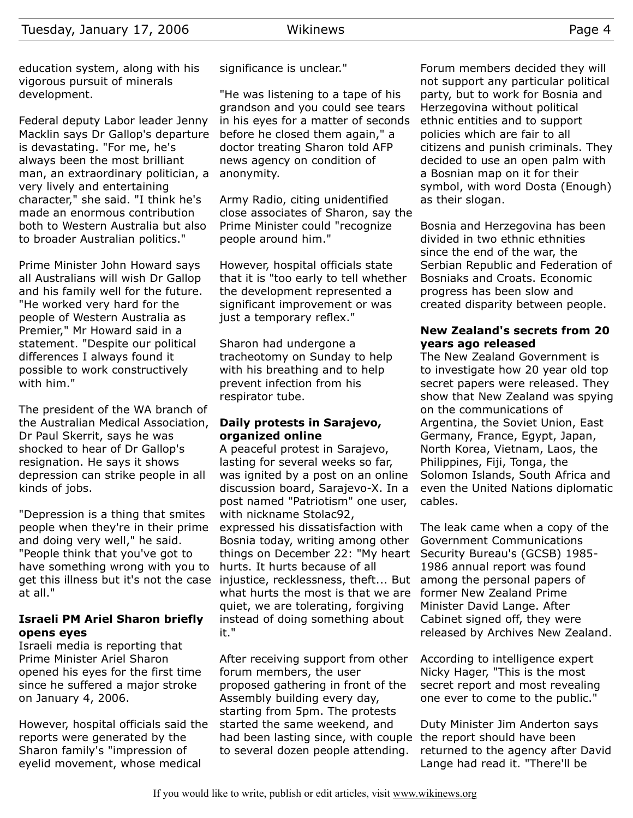Federal deputy Labor leader Jenny Macklin says Dr Gallop's departure is devastating. "For me, he's always been the most brilliant man, an extraordinary politician, a very lively and entertaining character," she said. "I think he's made an enormous contribution both to Western Australia but also to broader Australian politics."

Prime Minister John Howard says all Australians will wish Dr Gallop and his family well for the future. "He worked very hard for the people of Western Australia as Premier," Mr Howard said in a statement. "Despite our political differences I always found it possible to work constructively with him."

The president of the WA branch of the Australian Medical Association, Dr Paul Skerrit, says he was shocked to hear of Dr Gallop's resignation. He says it shows depression can strike people in all kinds of jobs.

"Depression is a thing that smites people when they're in their prime and doing very well," he said. "People think that you've got to have something wrong with you to get this illness but it's not the case injustice, recklessness, theft... But at all."

#### **Israeli PM Ariel Sharon briefly opens eyes**

Israeli media is reporting that Prime Minister Ariel Sharon opened his eyes for the first time since he suffered a major stroke on January 4, 2006.

However, hospital officials said the reports were generated by the Sharon family's "impression of eyelid movement, whose medical

significance is unclear."

"He was listening to a tape of his grandson and you could see tears in his eyes for a matter of seconds before he closed them again," a doctor treating Sharon told AFP news agency on condition of anonymity.

Army Radio, citing unidentified close associates of Sharon, say the Prime Minister could "recognize people around him."

However, hospital officials state that it is "too early to tell whether the development represented a significant improvement or was just a temporary reflex."

Sharon had undergone a tracheotomy on Sunday to help with his breathing and to help prevent infection from his respirator tube.

#### **Daily protests in Sarajevo, organized online**

A peaceful protest in Sarajevo, lasting for several weeks so far, was ignited by a post on an online discussion board, Sarajevo-X. In a post named "Patriotism" one user, with nickname Stolac92, expressed his dissatisfaction with Bosnia today, writing among other things on December 22: "My heart hurts. It hurts because of all what hurts the most is that we are quiet, we are tolerating, forgiving instead of doing something about it."

After receiving support from other forum members, the user proposed gathering in front of the Assembly building every day, starting from 5pm. The protests started the same weekend, and had been lasting since, with couple the report should have been to several dozen people attending.

Forum members decided they will not support any particular political party, but to work for Bosnia and Herzegovina without political ethnic entities and to support policies which are fair to all citizens and punish criminals. They decided to use an open palm with a Bosnian map on it for their symbol, with word Dosta (Enough) as their slogan.

Bosnia and Herzegovina has been divided in two ethnic ethnities since the end of the war, the Serbian Republic and Federation of Bosniaks and Croats. Economic progress has been slow and created disparity between people.

#### **New Zealand's secrets from 20 years ago released**

The New Zealand Government is to investigate how 20 year old top secret papers were released. They show that New Zealand was spying on the communications of Argentina, the Soviet Union, East Germany, France, Egypt, Japan, North Korea, Vietnam, Laos, the Philippines, Fiji, Tonga, the Solomon Islands, South Africa and even the United Nations diplomatic cables.

The leak came when a copy of the Government Communications Security Bureau's (GCSB) 1985- 1986 annual report was found among the personal papers of former New Zealand Prime Minister David Lange. After Cabinet signed off, they were released by Archives New Zealand.

According to intelligence expert Nicky Hager, "This is the most secret report and most revealing one ever to come to the public."

Duty Minister Jim Anderton says returned to the agency after David Lange had read it. "There'll be